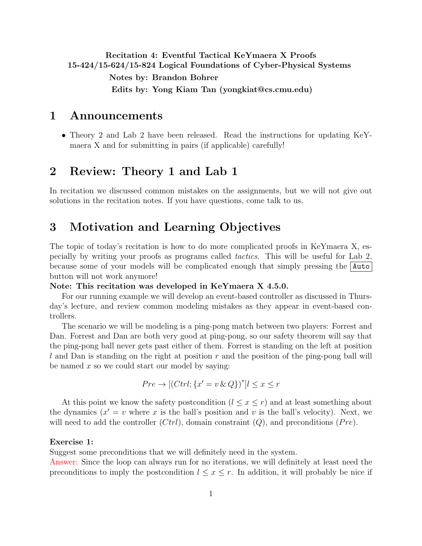# <span id="page-0-0"></span>Recitation 4: Eventful Tactical KeYmaera X Proofs 15-424/15-624/15-824 Logical Foundations of Cyber-Physical Systems Notes by: Brandon Bohrer

Edits by: Yong Kiam Tan (yongkiat@cs.cmu.edu)

## 1 Announcements

• Theory 2 and Lab 2 have been released. Read the instructions for updating KeYmaera X and for submitting in pairs (if applicable) carefully!

# 2 Review: Theory 1 and Lab 1

In recitation we discussed common mistakes on the assignments, but we will not give out solutions in the recitation notes. If you have questions, come talk to us.

# 3 Motivation and Learning Objectives

The topic of today's recitation is how to do more complicated proofs in KeYmaera X, especially by writing your proofs as programs called tactics. This will be useful for Lab 2, because some of your models will be complicated enough that simply pressing the Auto button will not work anymore!

#### Note: This recitation was developed in KeYmaera X 4.5.0.

For our running example we will develop an event-based controller as discussed in Thursday's lecture, and review common modeling mistakes as they appear in event-based controllers.

The scenario we will be modeling is a ping-pong match between two players: Forrest and Dan. Forrest and Dan are both very good at ping-pong, so our safety theorem will say that the ping-pong ball never gets past either of them. Forrest is standing on the left at position  $l$  and Dan is standing on the right at position  $r$  and the position of the ping-pong ball will be named  $x$  so we could start our model by saying:

$$
Pre \to [(Ctrl; \{x' = v \& Q\})^*] l \le x \le r
$$

At this point we know the safety postcondition  $(l \leq x \leq r)$  and at least something about the dynamics  $(x' = v$  where x is the ball's position and v is the ball's velocity). Next, we will need to add the controller  $(Ctrl)$ , domain constraint  $(Q)$ , and preconditions  $(Pre)$ .

#### Exercise 1:

Suggest some preconditions that we will definitely need in the system.

Answer: Since the loop can always run for no iterations, we will definitely at least need the preconditions to imply the postcondition  $l \leq x \leq r$ . In addition, it will probably be nice if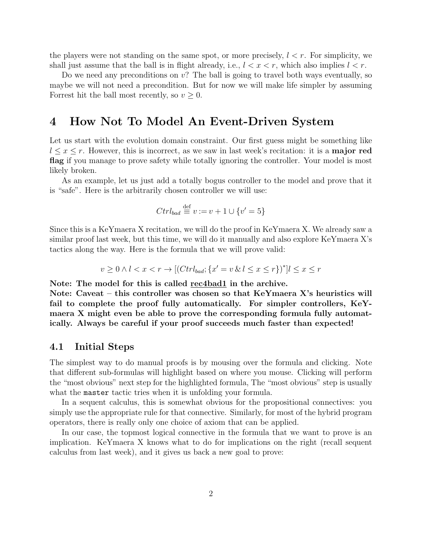the players were not standing on the same spot, or more precisely,  $l < r$ . For simplicity, we shall just assume that the ball is in flight already, i.e.,  $l < x < r$ , which also implies  $l < r$ .

Do we need any preconditions on  $v$ ? The ball is going to travel both ways eventually, so maybe we will not need a precondition. But for now we will make life simpler by assuming Forrest hit the ball most recently, so  $v \geq 0$ .

## 4 How Not To Model An Event-Driven System

Let us start with the evolution domain constraint. Our first guess might be something like  $l \leq x \leq r$ . However, this is incorrect, as we saw in last week's recitation: it is a **major red** flag if you manage to prove safety while totally ignoring the controller. Your model is most likely broken.

As an example, let us just add a totally bogus controller to the model and prove that it is "safe". Here is the arbitrarily chosen controller we will use:

$$
Ctrl_{bad} \stackrel{\text{def}}{=} v := v + 1 \cup \{v' = 5\}
$$

Since this is a KeYmaera X recitation, we will do the proof in KeYmaera X. We already saw a similar proof last week, but this time, we will do it manually and also explore KeYmaera X's tactics along the way. Here is the formula that we will prove valid:

$$
v \ge 0 \land l < x < r \to [(Ctrl_{bad}; \{x' = v \& l \le x \le r\})^*] l \le x \le r
$$

Note: The model for this is called rec4bad1 in the archive.

Note: Caveat – this controller was chosen so that KeYmaera X's heuristics will fail to complete the proof fully automatically. For simpler controllers, KeYmaera X might even be able to prove the corresponding formula fully automatically. Always be careful if your proof succeeds much faster than expected!

### 4.1 Initial Steps

The simplest way to do manual proofs is by mousing over the formula and clicking. Note that different sub-formulas will highlight based on where you mouse. Clicking will perform the "most obvious" next step for the highlighted formula, The "most obvious" step is usually what the master tactic tries when it is unfolding your formula.

In a sequent calculus, this is somewhat obvious for the propositional connectives: you simply use the appropriate rule for that connective. Similarly, for most of the hybrid program operators, there is really only one choice of axiom that can be applied.

In our case, the topmost logical connective in the formula that we want to prove is an implication. KeYmaera X knows what to do for implications on the right (recall sequent calculus from last week), and it gives us back a new goal to prove: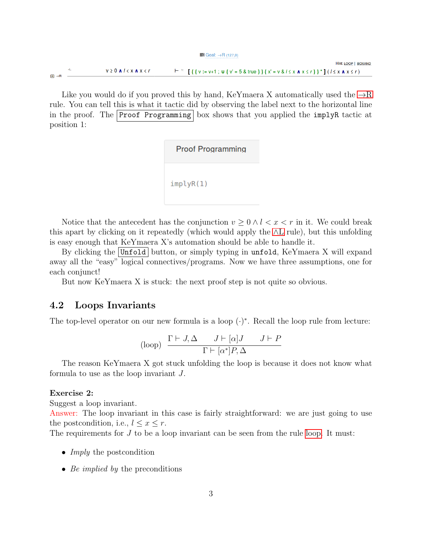$\equiv$  Goal:  $\rightarrow$ R (127,0)

Hint: LOOP | BOXAND  $v \ge 0$   $A$   $l < x$   $A$   $x < r$  $F^{-1}$  [{{v:=v+1; v{v'=5&true}}{x'=v&/ $\le x \land x \le r$ }}\*](/ $\le x \land x \le r$ )  $\overline{H}$   $\rightarrow$  R

Like you would do if you proved this by hand, KeYmaera X automatically used the  $\rightarrow R$ rule. You can tell this is what it tactic did by observing the label next to the horizontal line in the proof. The Proof Programming box shows that you applied the implyR tactic at position 1:

> **Proof Programming**  $implyR(1)$

Notice that the antecedent has the conjunction  $v \geq 0 \land l < x < r$  in it. We could break this apart by clicking on it repeatedly (which would apply the ∧[L](#page-0-0) rule), but this unfolding is easy enough that KeYmaera X's automation should be able to handle it.

By clicking the  $|\text{Unfold}|$  button, or simply typing in unfold, KeYmaera X will expand away all the "easy" logical connectives/programs. Now we have three assumptions, one for each conjunct!

But now KeYmaera X is stuck: the next proof step is not quite so obvious.

### 4.2 Loops Invariants

The top-level operator on our new formula is a loop  $(\cdot)^*$ . Recall the loop rule from lecture:

$$
\text{(loop)} \quad \frac{\Gamma \vdash J, \Delta \qquad J \vdash [\alpha]J \qquad J \vdash P}{\Gamma \vdash [\alpha^*]P, \Delta}
$$

The reason KeYmaera X got stuck unfolding the loop is because it does not know what formula to use as the loop invariant J.

#### Exercise 2:

Suggest a loop invariant.

Answer: The loop invariant in this case is fairly straightforward: we are just going to use the postcondition, i.e.,  $l \leq x \leq r$ .

The requirements for  $J$  to be a loop invariant can be seen from the rule [loop.](#page-0-0) It must:

- *Imply* the postcondition
- Be implied by the preconditions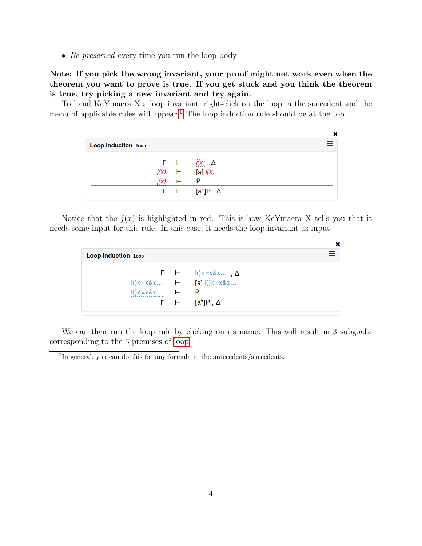• Be preserved every time you run the loop body

Note: If you pick the wrong invariant, your proof might not work even when the theorem you want to prove is true. If you get stuck and you think the theorem is true, try picking a new invariant and try again.

To hand KeYmaera X a loop invariant, right-click on the loop in the succedent and the menu of applicable rules will appear.<sup>[1](#page-3-0)</sup> The loop induction rule should be at the top.

 $\overline{a}$ 

| <b>Loop Induction loop</b> |   |                                          |
|----------------------------|---|------------------------------------------|
|                            |   | $\Gamma$ $\vdash$ $j(x)$ , $\Delta$      |
|                            |   | $j(x)$ $\vdash$ [a] $j(x)$               |
|                            | ⊢ |                                          |
|                            |   | $\Gamma$ $\vdash$ $[a^{\star}]P, \Delta$ |

Notice that the  $j(x)$  is highlighted in red. This is how KeYmaera X tells you that it needs some input for this rule. In this case, it needs the loop invariant as input.

| <b>Loop Induction loop</b>        |  |                                                            |  |  |  |
|-----------------------------------|--|------------------------------------------------------------|--|--|--|
|                                   |  |                                                            |  |  |  |
|                                   |  | $I() \le x \& x \dots$ $\vdash$ [a] $I() \le x \& x \dots$ |  |  |  |
| $I() \le x \& x \dots$ $\vdash$ P |  |                                                            |  |  |  |
|                                   |  | $\Gamma$ $\vdash$ $[a^*]P, \Delta$                         |  |  |  |

We can then run the loop rule by clicking on its name. This will result in 3 subgoals, corresponding to the 3 premises of [loop:](#page-0-0)

<span id="page-3-0"></span><sup>&</sup>lt;sup>1</sup>In general, you can do this for any formula in the antecedents/succedents.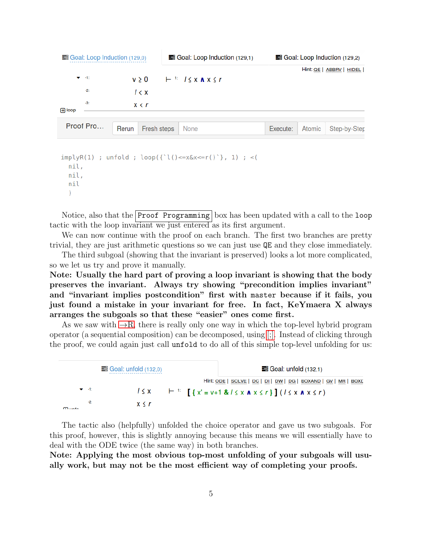| $\equiv$ Goal: Loop Induction (129,0) |                          |       | $\equiv$ Goal: Loop Induction (129,1) |                                                  |          | $\equiv$ Goal: Loop Induction (129,2) |                          |  |
|---------------------------------------|--------------------------|-------|---------------------------------------|--------------------------------------------------|----------|---------------------------------------|--------------------------|--|
|                                       |                          |       |                                       |                                                  |          |                                       | Hint: QE   ABBRV   HIDEL |  |
|                                       | $\blacktriangledown$ -41 |       | $v \geq 0$                            | $\vdash$ <sup>1:</sup> $1 \leq x \land x \leq r$ |          |                                       |                          |  |
|                                       | $-2:$                    |       | 1 < x                                 |                                                  |          |                                       |                          |  |
|                                       | $-3:$                    |       | x < r                                 |                                                  |          |                                       |                          |  |
| $\Box$ loop                           |                          |       |                                       |                                                  |          |                                       |                          |  |
|                                       | Proof Pro                | Rerun | Fresh steps                           | None                                             | Execute: | Atomic                                | Step-by-Step             |  |

```
implyR(1) ; unfold ; loop({`l()<=x&x<=r()`}, 1) ; <(
 nil,
 nil,
 nil
 \lambda
```
Notice, also that the Proof Programming box has been updated with a call to the loop tactic with the loop invariant we just entered as its first argument.

We can now continue with the proof on each branch. The first two branches are pretty trivial, they are just arithmetic questions so we can just use QE and they close immediately.

The third subgoal (showing that the invariant is preserved) looks a lot more complicated, so we let us try and prove it manually.

Note: Usually the hard part of proving a loop invariant is showing that the body preserves the invariant. Always try showing "precondition implies invariant" and "invariant implies postcondition" first with master because if it fails, you just found a mistake in your invariant for free. In fact, KeYmaera X always arranges the subgoals so that these "easier" ones come first.

As we saw with  $\rightarrow R$ , there is really only one way in which the top-level hybrid program operator (a sequential composition) can be decomposed, using [\[;\].](#page-0-0) Instead of clicking through the proof, we could again just call unfold to do all of this simple top-level unfolding for us:

| $\equiv$ Goal: unfold (132,0) |       |  | $\equiv$ Goal: unfold (132,1)                                                                 |                                                                                  |  |
|-------------------------------|-------|--|-----------------------------------------------------------------------------------------------|----------------------------------------------------------------------------------|--|
|                               |       |  |                                                                                               | Hint: <u>ODE   SOLVE   DC   DI   DW   DG   BOXAND   GV   MR  </u><br><b>BOXD</b> |  |
| $\blacktriangledown$ -4:      |       |  | $1 \le x$ $\left[\right\{x' = v + 1 \& 1 \le x \land x \le r\right\}](1 \le x \land x \le r)$ |                                                                                  |  |
| $-2:$<br><b>munto</b>         | x < r |  |                                                                                               |                                                                                  |  |

The tactic also (helpfully) unfolded the choice operator and gave us two subgoals. For this proof, however, this is slightly annoying because this means we will essentially have to deal with the ODE twice (the same way) in both branches.

Note: Applying the most obvious top-most unfolding of your subgoals will usually work, but may not be the most efficient way of completing your proofs.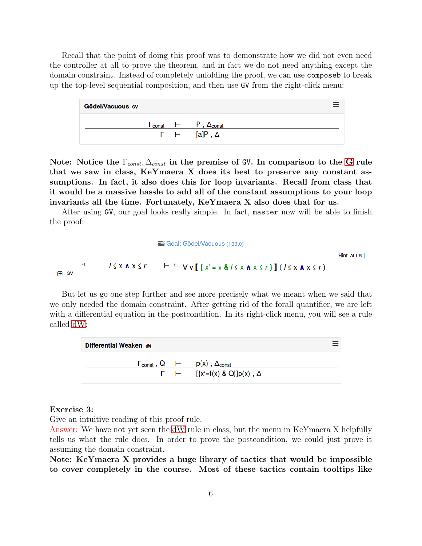Recall that the point of doing this proof was to demonstrate how we did not even need the controller at all to prove the theorem, and in fact we do not need anything except the domain constraint. Instead of completely unfolding the proof, we can use composeb to break up the top-level sequential composition, and then use GV from the right-click menu:

| Gödel/Vacuous GV |                      |                                     |
|------------------|----------------------|-------------------------------------|
|                  | $\blacksquare$ const | $\vdash$ P, $\Delta_{\text{const}}$ |
|                  |                      | $\Gamma$ $\vdash$ [a]P, $\Delta$    |

Note: Notice the  $\Gamma_{const}$ ,  $\Delta_{const}$  in the premise of [G](#page-0-0)V. In comparison to the G rule that we saw in class, KeYmaera X does its best to preserve any constant assumptions. In fact, it also does this for loop invariants. Recall from class that it would be a massive hassle to add all of the constant assumptions to your loop invariants all the time. Fortunately, KeYmaera X also does that for us.

After using GV, our goal looks really simple. In fact, master now will be able to finish the proof:

$$
\equiv \text{Goal: Gödel/Vacuous (133,0)}
$$
Hint: ALIR |  

$$
1 \le x \land x \le r \qquad \vdash \text{if } \forall v \text{ } [\{x' = v \& l \le x \land x \le r\} \text{]} (1 \le x \land x \le r)
$$

But let us go one step further and see more precisely what we meant when we said that we only needed the domain constraint. After getting rid of the forall quantifier, we are left with a differential equation in the postcondition. In its right-click menu, you will see a rule called [dW:](#page-0-0)



#### Exercise 3:

Give an intuitive reading of this proof rule.

Answer: We have not yet seen the [dW](#page-0-0) rule in class, but the menu in KeYmaera X helpfully tells us what the rule does. In order to prove the postcondition, we could just prove it assuming the domain constraint.

Note: KeYmaera X provides a huge library of tactics that would be impossible to cover completely in the course. Most of these tactics contain tooltips like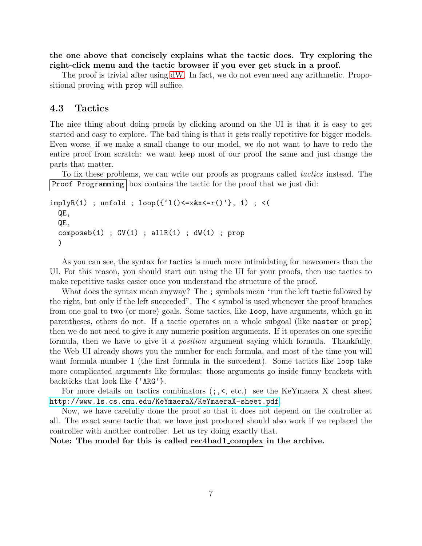the one above that concisely explains what the tactic does. Try exploring the right-click menu and the tactic browser if you ever get stuck in a proof.

The proof is trivial after using [dW.](#page-0-0) In fact, we do not even need any arithmetic. Propositional proving with prop will suffice.

### 4.3 Tactics

The nice thing about doing proofs by clicking around on the UI is that it is easy to get started and easy to explore. The bad thing is that it gets really repetitive for bigger models. Even worse, if we make a small change to our model, we do not want to have to redo the entire proof from scratch: we want keep most of our proof the same and just change the parts that matter.

To fix these problems, we can write our proofs as programs called *tactics* instead. The Proof Programming box contains the tactic for the proof that we just did:

```
implyR(1) ; unfold ; loop({'1() \le x k x \le r() '}, 1) ; <(
QE,
QE,
 composeb(1); GV(1); allR(1); dW(1); prop
 )
```
As you can see, the syntax for tactics is much more intimidating for newcomers than the UI. For this reason, you should start out using the UI for your proofs, then use tactics to make repetitive tasks easier once you understand the structure of the proof.

What does the syntax mean anyway? The ; symbols mean "run the left tactic followed by the right, but only if the left succeeded". The < symbol is used whenever the proof branches from one goal to two (or more) goals. Some tactics, like loop, have arguments, which go in parentheses, others do not. If a tactic operates on a whole subgoal (like master or prop) then we do not need to give it any numeric position arguments. If it operates on one specific formula, then we have to give it a position argument saying which formula. Thankfully, the Web UI already shows you the number for each formula, and most of the time you will want formula number 1 (the first formula in the succedent). Some tactics like loop take more complicated arguments like formulas: those arguments go inside funny brackets with backticks that look like {'ARG'}.

For more details on tactics combinators (;,<, etc.) see the KeYmaera X cheat sheet <http://www.ls.cs.cmu.edu/KeYmaeraX/KeYmaeraX-sheet.pdf>.

Now, we have carefully done the proof so that it does not depend on the controller at all. The exact same tactic that we have just produced should also work if we replaced the controller with another controller. Let us try doing exactly that.

Note: The model for this is called rec4bad1 complex in the archive.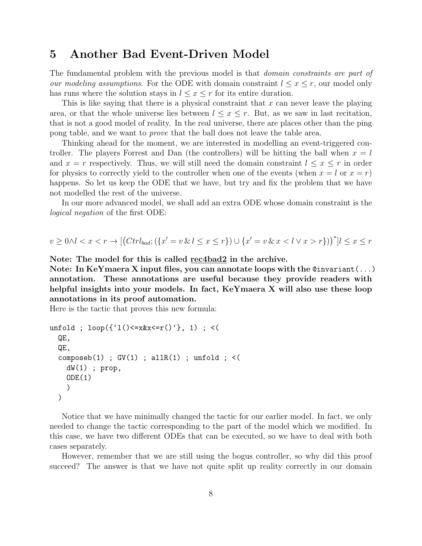# 5 Another Bad Event-Driven Model

The fundamental problem with the previous model is that *domain constraints are part of* our modeling assumptions. For the ODE with domain constraint  $l \leq x \leq r$ , our model only has runs where the solution stays in  $l \leq x \leq r$  for its entire duration.

This is like saying that there is a physical constraint that  $x$  can never leave the playing area, or that the whole universe lies between  $l \leq x \leq r$ . But, as we saw in last recitation, that is not a good model of reality. In the real universe, there are places other than the ping pong table, and we want to prove that the ball does not leave the table area.

Thinking ahead for the moment, we are interested in modelling an event-triggered controller. The players Forrest and Dan (the controllers) will be hitting the ball when  $x = l$ and  $x = r$  respectively. Thus, we will still need the domain constraint  $l \leq x \leq r$  in order for physics to correctly yield to the controller when one of the events (when  $x = l$  or  $x = r$ ) happens. So let us keep the ODE that we have, but try and fix the problem that we have not modelled the rest of the universe.

In our more advanced model, we shall add an extra ODE whose domain constraint is the logical negation of the first ODE:

$$
v \ge 0 \land l < x < r \to \left[ \left( \frac{C}{t} \right) \left( \frac{x'}{s} \right) \cup \left\{ x' = v \& x < l \lor x < l \lor x > r \right\} \right) \right]^* \left[ l \le x \le r \right]
$$

Note: The model for this is called rec4bad2 in the archive.

Note: In KeYmaera X input files, you can annotate loops with the @invariant(...) annotation. These annotations are useful because they provide readers with helpful insights into your models. In fact, KeYmaera X will also use these loop annotations in its proof automation.

Here is the tactic that proves this new formula:

```
unfold ; loop({'1() \le x&x \le r() '}, 1) ; <(
 QE,
 QE,
 composeb(1); GV(1); allR(1); unfold; <(
   dW(1); prop,
   ODE(1)
   )
 )
```
Notice that we have minimally changed the tactic for our earlier model. In fact, we only needed to change the tactic corresponding to the part of the model which we modified. In this case, we have two different ODEs that can be executed, so we have to deal with both cases separately.

However, remember that we are still using the bogus controller, so why did this proof succeed? The answer is that we have not quite split up reality correctly in our domain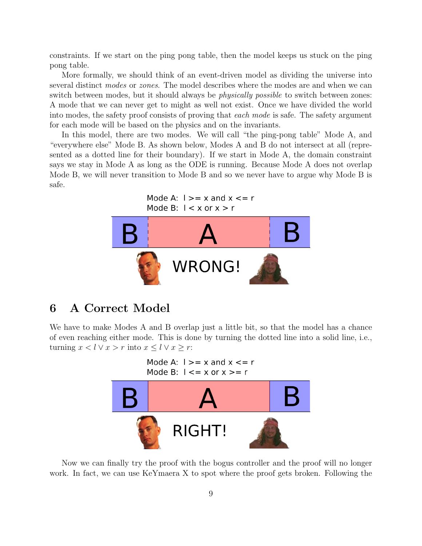constraints. If we start on the ping pong table, then the model keeps us stuck on the ping pong table.

More formally, we should think of an event-driven model as dividing the universe into several distinct modes or zones. The model describes where the modes are and when we can switch between modes, but it should always be *physically possible* to switch between zones: A mode that we can never get to might as well not exist. Once we have divided the world into modes, the safety proof consists of proving that *each mode* is safe. The safety argument for each mode will be based on the physics and on the invariants.

In this model, there are two modes. We will call "the ping-pong table" Mode A, and "everywhere else" Mode B. As shown below, Modes A and B do not intersect at all (represented as a dotted line for their boundary). If we start in Mode A, the domain constraint says we stay in Mode A as long as the ODE is running. Because Mode A does not overlap Mode B, we will never transition to Mode B and so we never have to argue why Mode B is safe.

```
Mode A: 1 \ge x and x \le rMode B: 1 < x or x > r
```


# 6 A Correct Model

We have to make Modes A and B overlap just a little bit, so that the model has a chance of even reaching either mode. This is done by turning the dotted line into a solid line, i.e., turning  $x < l \vee x > r$  into  $x \le l \vee x \ge r$ :



Now we can finally try the proof with the bogus controller and the proof will no longer work. In fact, we can use KeYmaera X to spot where the proof gets broken. Following the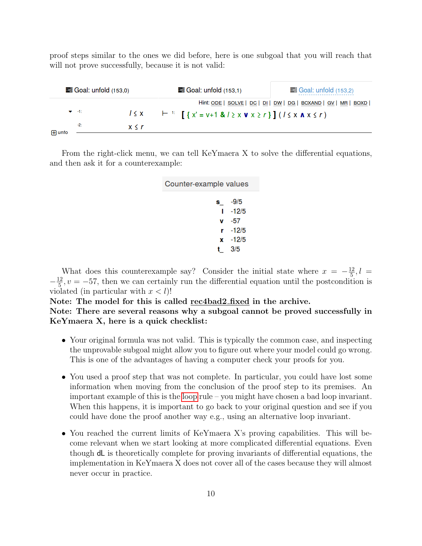proof steps similar to the ones we did before, here is one subgoal that you will reach that will not prove successfully, because it is not valid:

| $\equiv$ Goal: unfold $(153,0)$ |            | $\equiv$ Goal: unfold (153,1)                                                                     | $\equiv$ Goal: unfold (153,2) |  |  |
|---------------------------------|------------|---------------------------------------------------------------------------------------------------|-------------------------------|--|--|
|                                 |            | Hint: <u>ODE   SOLVE   DC   DI   DW   DG   BOXAND   GV  </u>                                      | МR<br><b>BOXD</b>             |  |  |
| $\blacktriangledown$ -41.       | $1 \leq x$ | $\vdash$ $\vdash$ $\vdash$ $[ \{ x' = v + 1 \& l \ge x \lor x \ge r \} ] (l \le x \land x \le r)$ |                               |  |  |
| $-2:$<br><b>H</b> unfo          | x < r      |                                                                                                   |                               |  |  |
|                                 |            |                                                                                                   |                               |  |  |

From the right-click menu, we can tell KeYmaera X to solve the differential equations, and then ask it for a counterexample:

| Counter-example values |
|------------------------|
| $s = -9/5$             |
| $1 - 12/5$             |
| $\mathsf{v}$ -57       |
| r -12/5                |
| $x - 12/5$             |
| t $3/5$                |
|                        |

What does this counterexample say? Consider the initial state where  $x = -\frac{12}{5}$  $\frac{12}{5}$ ,  $l =$  $-\frac{12}{5}$  $\frac{12}{5}$ ,  $v = -57$ , then we can certainly run the differential equation until the postcondition is violated (in particular with  $x < l$ )!

### Note: The model for this is called rec4bad2 fixed in the archive. Note: There are several reasons why a subgoal cannot be proved successfully in KeYmaera X, here is a quick checklist:

- Your original formula was not valid. This is typically the common case, and inspecting the unprovable subgoal might allow you to figure out where your model could go wrong. This is one of the advantages of having a computer check your proofs for you.
- You used a proof step that was not complete. In particular, you could have lost some information when moving from the conclusion of the proof step to its premises. An important example of this is the [loop](#page-0-0) rule – you might have chosen a bad loop invariant. When this happens, it is important to go back to your original question and see if you could have done the proof another way e.g., using an alternative loop invariant.
- You reached the current limits of KeYmaera X's proving capabilities. This will become relevant when we start looking at more complicated differential equations. Even though dL is theoretically complete for proving invariants of differential equations, the implementation in KeYmaera X does not cover all of the cases because they will almost never occur in practice.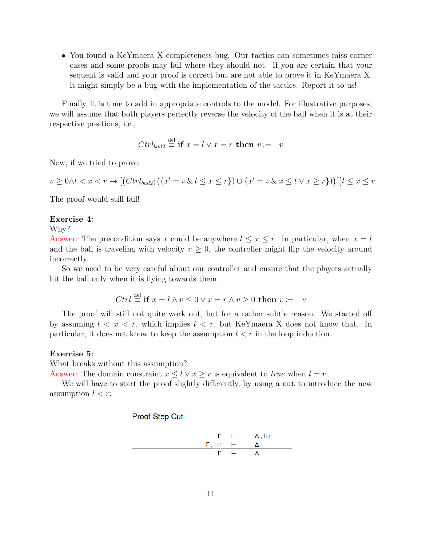• You found a KeYmaera X completeness bug. Our tactics can sometimes miss corner cases and some proofs may fail where they should not. If you are certain that your sequent is valid and your proof is correct but are not able to prove it in KeYmaera X, it might simply be a bug with the implementation of the tactics. Report it to us!

Finally, it is time to add in appropriate controls to the model. For illustrative purposes, we will assume that both players perfectly reverse the velocity of the ball when it is at their respective positions, i.e.,

$$
Ctrl_{bad2} \stackrel{\text{def}}{=} \mathbf{if} \ x = l \lor x = r \ \mathbf{then} \ v := -v
$$

Now, if we tried to prove:

$$
v \ge 0 \land l < x < r \to \left[ \left( \frac{Ctr l_{bad2}}{r} ; \left( \{ x' = v \& l \le x \le r \} \right) \cup \{ x' = v \& x \le l \lor x \ge r \} \right) \right)^* \left[ l \le x \le r \right]
$$

The proof would still fail!

#### Exercise 4:

Why?

Answer: The precondition says x could be anywhere  $l \leq x \leq r$ . In particular, when  $x = l$ and the ball is traveling with velocity  $v \geq 0$ , the controller might flip the velocity around incorrectly.

So we need to be very careful about our controller and ensure that the players actually hit the ball only when it is flying towards them.

$$
Ctrl \stackrel{\text{def}}{=} \mathbf{if} \ x = l \land v \le 0 \lor x = r \land v \ge 0 \text{ then } v := -v
$$

The proof will still not quite work out, but for a rather subtle reason. We started off by assuming  $l \leq x \leq r$ , which implies  $l \leq r$ , but KeYmaera X does not know that. In particular, it does not know to keep the assumption  $l < r$  in the loop induction.

### Exercise 5:

What breaks without this assumption?

Answer: The domain constraint  $x \leq l \vee x \geq r$  is equivalent to true when  $l = r$ .

We will have to start the proof slightly differently, by using a cut to introduce the new assumption  $l < r$ :

#### **Proof Step Cut**

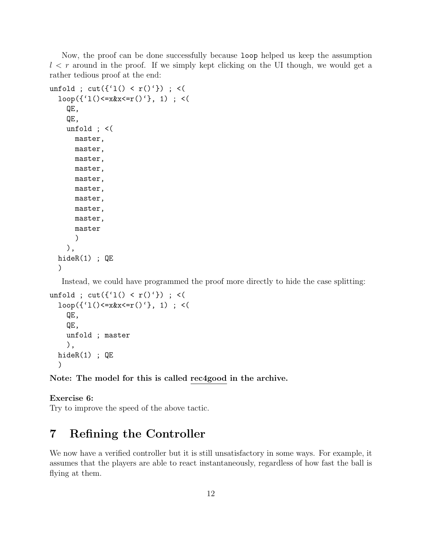Now, the proof can be done successfully because loop helped us keep the assumption  $l < r$  around in the proof. If we simply kept clicking on the UI though, we would get a rather tedious proof at the end:

```
unfold ; cut({'1() < r()'}) ; <(
 loop({{'1}})(&=&x&x&=&r(){'}, 1); < (QE,
   QE,
   unfold ; <(
     master,
     master,
     master,
     master,
     master,
     master,
     master,
     master,
     master,
     master
     )
   ),
 hideR(1) ; QE
 )
```
Instead, we could have programmed the proof more directly to hide the case splitting:

```
unfold ; cut({'1() < r()'} ) ; <(
 loop({{'1}})(&=&x&x&=&r(){'}, 1); < (QE,
   QE,
   unfold ; master
   ),
 hideR(1) ; QE
 )
```
Note: The model for this is called rec4good in the archive.

Exercise 6: Try to improve the speed of the above tactic.

# 7 Refining the Controller

We now have a verified controller but it is still unsatisfactory in some ways. For example, it assumes that the players are able to react instantaneously, regardless of how fast the ball is flying at them.